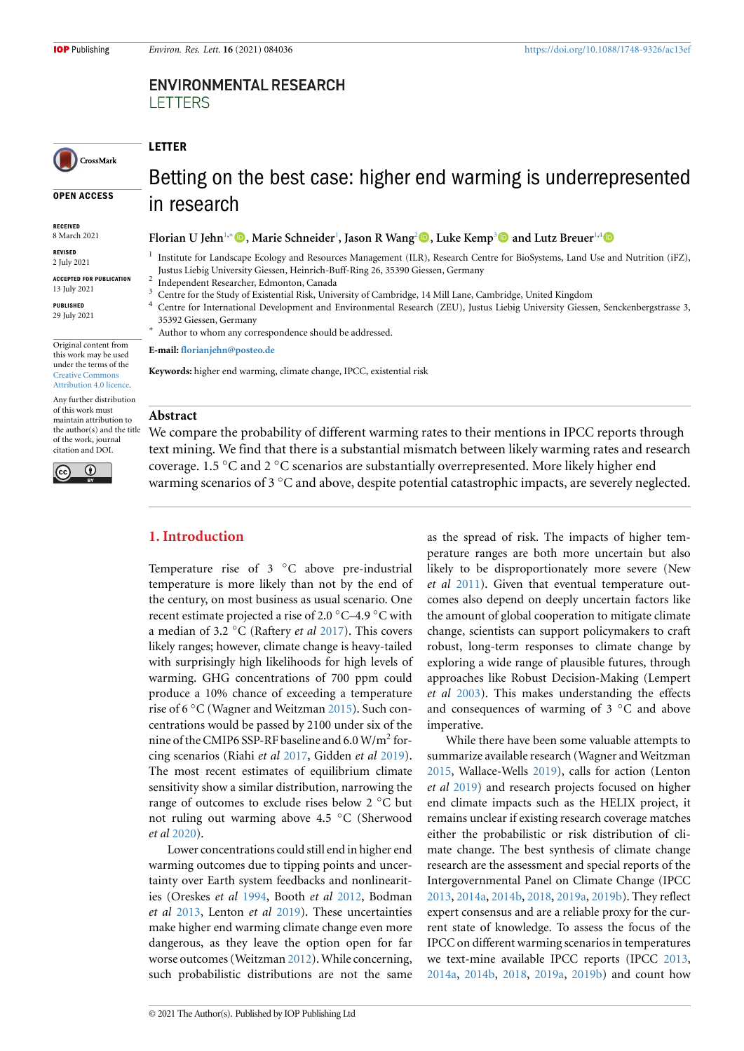# **ENVIRONMENTAL RESEARCH LETTERS**

CrossMark

**OPEN ACCESS**

**[RECEIVED](https://crossmark.crossref.org/dialog/?doi=10.1088/1748-9326/ac13ef&domain=pdf&date_stamp=2021-7-29)** 8 March 2021

**REVISED** 2 July 2021

**ACCEPTED FOR PUBLICATION** 13 July 2021

**PUBLISHED** 29 July 2021

Original content from this work may be used under the terms of the Creative Commons Attribution 4.0 licence.

Any further distribution of this work must maintain attribution to the author(s) and the title [of the work, journal](https://creativecommons.org/licenses/by/4.0/) [citation and DOI.](https://creativecommons.org/licenses/by/4.0/)



# Betting on the best case: higher end warming is underrepresented in research

# **Florian U Jehn**1,*∗***, Marie Schneider**<sup>1</sup> **, Jason R Wang**<sup>2</sup>**, Luke Kemp**<sup>3</sup> **and Lutz Breuer**1,4

Institute for Landscape Ecology and Resources Management (ILR), Research Centre for BioSystems, Land Use and Nutrition (iFZ), Justus Liebig University Giessen, Heinrich-Buff-Ring 26, 35390 Giessen, Germany

2 Independent Researcher, Edmonton, Canada

- <sup>3</sup> Centre for the S[tu](#page-0-0)[d](#page-0-1)[y o](https://orcid.org/0000-0002-7296-8008)f Existential Risk, Uni[ve](#page-0-0)rsity of Cambridg[e](#page-0-2)[, 14](https://orcid.org/0000-0002-3854-9635) Mill Lane, Ca[m](#page-0-3)[brid](https://orcid.org/0000-0002-3816-564X)ge, United Kingdom
- Centre for International Development and Environmental Research (ZEU), Justus Liebig University Giessen, [Sen](https://orcid.org/0000-0001-9720-1076)ckenbergstrasse 3, 35392 Giessen, Germany
- <span id="page-0-0"></span>*∗* Author to whom any correspondence should be addressed.

#### <span id="page-0-2"></span>**E-mail: florianjehn@posteo.de**

<span id="page-0-3"></span>**Keywords:** higher end warming, climate change, IPCC, existential risk

### <span id="page-0-1"></span>**Abstr[act](mailto:florianjehn@posteo.de)**

**LETTER**

1

We compare the probability of different warming rates to their mentions in IPCC reports through text mining. We find that there is a substantial mismatch between likely warming rates and research coverage. 1.5 *◦*C and 2 *◦*C scenarios are substantially overrepresented. More likely higher end warming scenarios of 3 *◦*C and above, despite potential catastrophic impacts, are severely neglected.

# **1. Introduction**

Temperature rise of 3 *◦*C above pre-industrial temperature is more likely than not by the end of the century, on most business as usual scenario. One recent estimate projected a rise of 2.0 *◦*C–4.9 *◦*C with a median of 3.2 *◦*C (Raftery *et al* 2017). This covers likely ranges; however, climate change is heavy-tailed with surprisingly high likelihoods for high levels of warming. GHG concentrations of 700 ppm could produce a 10% chance of exceed[ing a](#page-4-0) temperature rise of 6 *◦*C (Wagner and Weitzman 2015). Such concentrations would be passed by 2100 under six of the nine of the CMIP6 SSP-RF baseline and  $6.0$  W/m<sup>2</sup> forcing scenarios (Riahi *et al* 2017, Gidden *et al* 2019). The most recent estimates of eq[uilibri](#page-4-1)um climate sensitivity show a similar distribution, narrowing the range of outcomes to exclude rises below 2 *◦*C but not ruling out warming [above](#page-4-2) 4.5 *◦*C (She[rwoo](#page-3-0)d *et al* 2020).

Lower concentrations could still end in higher end warming outcomes due to tipping points and uncertainty over Earth system feedbacks and nonlinearities([Oresk](#page-4-3)es *et al* 1994, Booth *et al* 2012, Bodman *et al* 2013, Lenton *et al* 2019). These uncertainties make higher end warming climate change even more dangerous, as they leave the option open for far worse outcomes ([Weitzm](#page-4-4)an 2012). W[hile co](#page-3-1)ncerning, such [prob](#page-3-2)abilistic distri[bution](#page-3-3)s are not the same as the spread of risk. The impacts of higher temperature ranges are both more uncertain but also likely to be disproportionately more severe (New *et al* 2011). Given that eventual temperature outcomes also depend on deeply uncertain factors like the amount of global cooperation to mitigate climate change, scientists can support policymakers to craft robus[t, lon](#page-4-6)g-term responses to climate change by exploring a wide range of plausible futures, through approaches like Robust Decision-Making (Lempert *et al* 2003). This makes understanding the effects and consequences of warming of 3 *◦*C and above imperative.

While there have been some valuable attempts to sum[marize](#page-3-4) available research (Wagner and Weitzman 2015, Wallace-Wells 2019), calls for action (Lenton *et al* 2019) and research projects focused on higher end climate impacts such as the HELIX project, it remains unclear if existing research coverage matches [eithe](#page-4-1)r the probabilis[tic o](#page-4-7)r risk distribution of climate [chan](#page-3-3)ge. The best synthesis of climate change research are the assessment and special reports of the Intergovernmental Panel on Climate Change (IPCC 2013, 2014a, 2014b, 2018, 2019a, 2019b). They reflect expert consensus and are a reliable proxy for the current state of knowledge. To assess the focus of the IPCC on different warming scenarios in temperatures [we te](#page-3-5)[xt-min](#page-3-6)[e avail](#page-3-7)[able I](#page-3-8)[PCC r](#page-3-9)[eports](#page-3-10) (IPCC 2013, 2014a, 2014b, 2018, 2019a, 2019b) and count how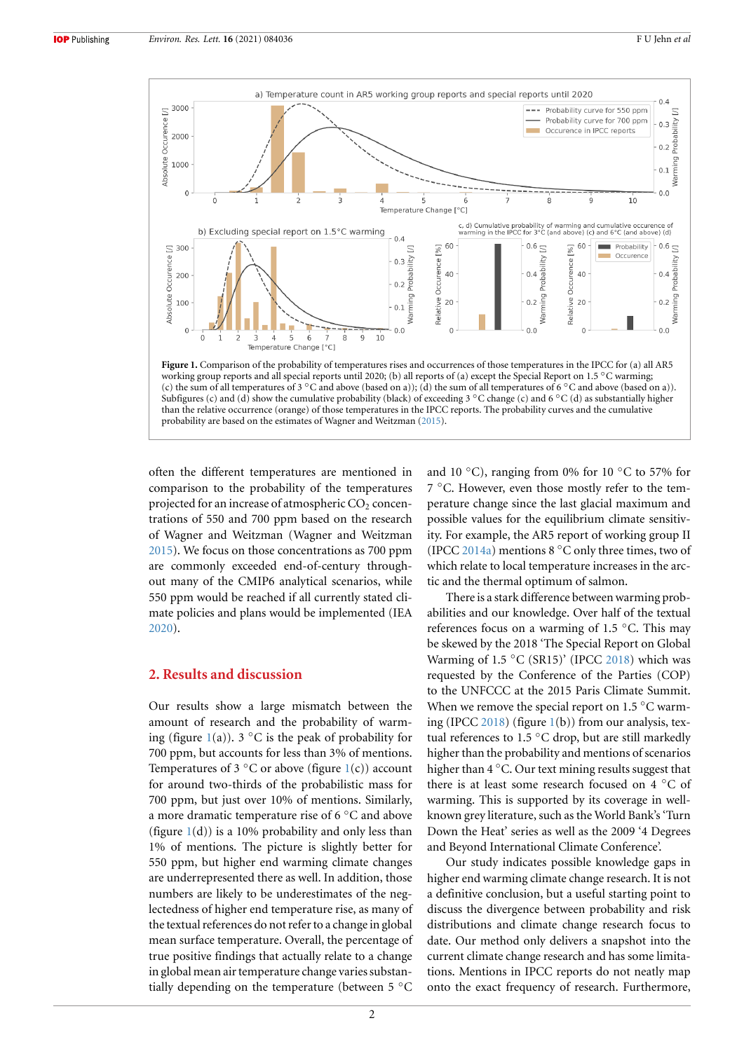<span id="page-1-0"></span>

often the different temperatures are mentioned in comparison to the probability of the temperatures projected for an increase of atmospheric  $CO<sub>2</sub>$  concentrations of 550 and 700 ppm based on the research of Wagner and Weitzman (Wagner and Weitzman 2015). We focus on those concentrations as 700 ppm are commonly exceeded end-of-century throughout many of the CMIP6 analytical scenarios, while 550 ppm would be reached if all currently stated cli[mate](#page-4-1) policies and plans would be implemented (IEA 2020).

#### **2. Results and discussion**

Our results show a large mismatch between the amount of research and the probability of warming (figure 1(a)). 3 *◦*C is the peak of probability for 700 ppm, but accounts for less than 3% of mentions. Temperatures of 3 *◦*C or above (figure 1(c)) account for around two-thirds of the probabilistic mass for 700 ppm, [bu](#page-1-0)t just over 10% of mentions. Similarly, a more dramatic temperature rise of 6 *◦*C and above (figure  $1(d)$ ) is a 10% probability and [on](#page-1-0)ly less than 1% of mentions. The picture is slightly better for 550 ppm, but higher end warming climate changes are underrepresented there as well. In addition, those numbe[rs](#page-1-0) are likely to be underestimates of the neglectedness of higher end temperature rise, as many of the textual references do not refer to a change in global mean surface temperature. Overall, the percentage of true positive findings that actually relate to a change in global mean air temperature change varies substantially depending on the temperature (between 5 *◦*C

and 10 *◦*C), ranging from 0% for 10 *◦*C to 57% for [7](#page-4-1) *◦*C. However, even those mostly refer to the temperature change since the last glacial maximum and possible values for the equilibrium climate sensitivity. For example, the AR5 report of working group II (IPCC 2014a) mentions 8 *◦*C only three times, two of which relate to local temperature increases in the arctic and the thermal optimum of salmon.

There is a stark difference between warming probabilitie[s and](#page-3-6) our knowledge. Over half of the textual references focus on a warming of 1.5 *◦*C. This may be skewed by the 2018 'The Special Report on Global Warming of 1.5 *◦*C (SR15)' (IPCC 2018) which was requested by the Conference of the Parties (COP) to the UNFCCC at the 2015 Paris Climate Summit. When we remove the special report on 1.5 *◦*C warming (IPCC 2018) (figure 1(b)) from [our a](#page-3-8)nalysis, textual references to 1.5 *◦*C drop, but are still markedly higher than the probability and mentions of scenarios higher than 4 *◦*C. Our text mining results suggest that there is at [least](#page-3-8) some r[es](#page-1-0)earch focused on 4 *◦*C of warming. This is supported by its coverage in wellknown grey literature, such as the World Bank's 'Turn Down the Heat' series as well as the 2009 '4 Degrees and Beyond International Climate Conference'.

Our study indicates possible knowledge gaps in higher end warming climate change research. It is not a definitive conclusion, but a useful starting point to discuss the divergence between probability and risk distributions and climate change research focus to date. Our method only delivers a snapshot into the current climate change research and has some limitations. Mentions in IPCC reports do not neatly map onto the exact frequency of research. Furthermore,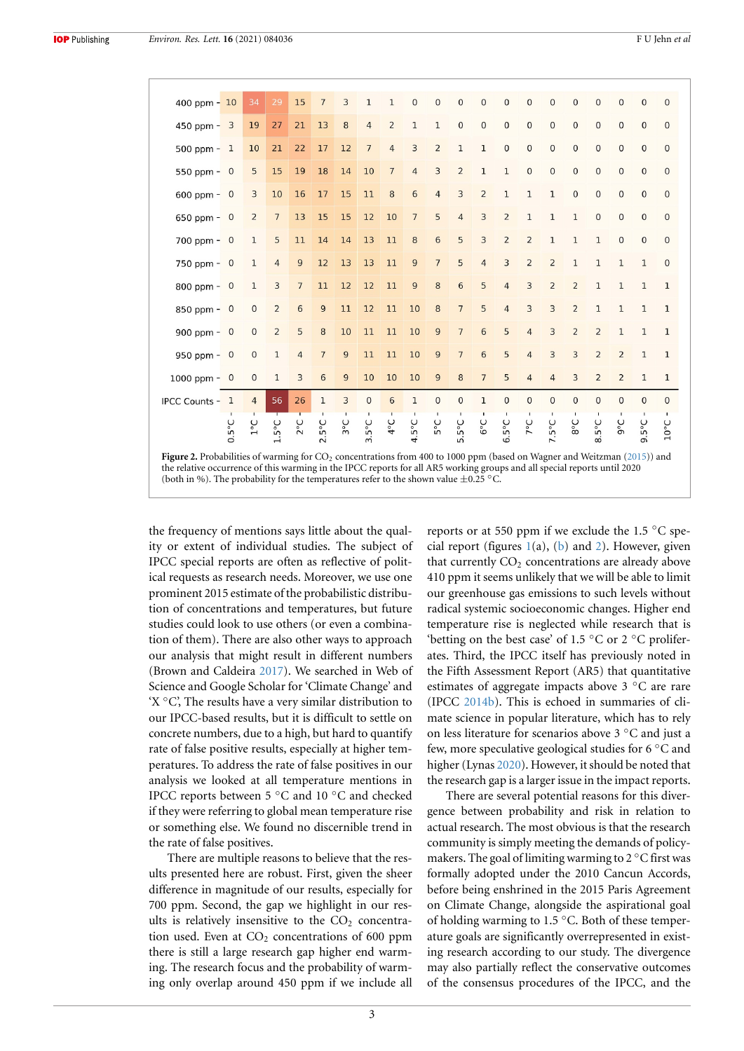<span id="page-2-0"></span>

| 400 ppm $-10$                                                                                                                                                                                                                                            |                             | 34             | 29              | 15             | $\overline{7}$ | 3              | 1               | $\mathbf{1}$   | $\overline{0}$  | $\overline{0}$ | $\overline{0}$  | $\mathbf{0}$   | $\overline{0}$ | $\overline{0}$ | $\mathbf 0$    | $\overline{0}$ | $\overline{0}$ | $\overline{0}$ | $\overline{0}$  | $\overline{0}$ |
|----------------------------------------------------------------------------------------------------------------------------------------------------------------------------------------------------------------------------------------------------------|-----------------------------|----------------|-----------------|----------------|----------------|----------------|-----------------|----------------|-----------------|----------------|-----------------|----------------|----------------|----------------|----------------|----------------|----------------|----------------|-----------------|----------------|
| $450$ ppm $-3$                                                                                                                                                                                                                                           |                             | 19             | 27              | 21             | 13             | 8              | $\overline{4}$  | $\overline{2}$ | $\mathbf{1}$    | $\mathbf{1}$   | $\overline{0}$  | $\mathbf 0$    | $\mathbf{0}$   | $\overline{0}$ | $\overline{0}$ | $\overline{0}$ | $\overline{0}$ | $\overline{0}$ | $\overline{0}$  | $\mathbf{0}$   |
| 500 ppm $-1$                                                                                                                                                                                                                                             |                             | 10             | 21              | 22             | 17             | 12             | $\overline{7}$  | $\overline{4}$ | 3               | $\overline{2}$ | $\mathbf{1}$    | $\mathbf{1}$   | $\mathbf{0}$   | $\overline{0}$ | $\mathbf{0}$   | $\mathbf 0$    | $\mathbf{0}$   | $\mathbf{0}$   | $\overline{0}$  | $\mathbf{0}$   |
| 550 ppm $-$ 0                                                                                                                                                                                                                                            |                             | 5              | 15              | 19             | 18             | 14             | 10              | $\overline{7}$ | $\overline{4}$  | 3              | $\overline{2}$  | $\mathbf{1}$   | $\mathbf{1}$   | $\mathbf{0}$   | $\overline{0}$ | $\overline{0}$ | $\overline{0}$ | $\overline{0}$ | $\mathbf{0}$    | $\mathbf{0}$   |
| $600$ ppm $-$ 0                                                                                                                                                                                                                                          |                             | 3              | 10              | 16             | 17             | 15             | 11              | 8              | $6\phantom{1}6$ | $\overline{4}$ | $\overline{3}$  | $\overline{2}$ | $\mathbf{1}$   | $\mathbf{1}$   | $\mathbf{1}$   | $\overline{0}$ | $\overline{0}$ | $\mathbf{0}$   | $\Omega$        | $\overline{0}$ |
| 650 ppm $-$ 0                                                                                                                                                                                                                                            |                             | $\overline{2}$ | $\overline{7}$  | 13             | 15             | 15             | 12              | 10             | $\overline{7}$  | 5              | $\overline{4}$  | $\overline{3}$ | $\overline{2}$ | $\mathbf{1}$   | $\mathbf{1}$   | $\mathbf{1}$   | $\mathbf{0}$   | $\overline{0}$ | $\Omega$        | $\mathbf 0$    |
| $700$ ppm $-$ 0                                                                                                                                                                                                                                          |                             | $\mathbf{1}$   | 5               | 11             | 14             | 14             | 13              | 11             | 8               | 6              | 5               | $\overline{3}$ | $\overline{2}$ | $\overline{2}$ | $\mathbf{1}$   | $\mathbf{1}$   | $\mathbf{1}$   | $\overline{0}$ | $\Omega$        | $\mathbf{0}$   |
| $750$ ppm - 0                                                                                                                                                                                                                                            |                             | $\mathbf{1}$   | $\overline{4}$  | 9              | 12             | 13             | 13              | 11             | $\overline{9}$  | $\overline{7}$ | 5               | $\overline{4}$ | $\overline{3}$ | $\overline{2}$ | $\overline{2}$ | $\mathbf{1}$   | $\mathbf{1}$   | $\mathbf{1}$   | $\mathbf{1}$    | $\mathbf 0$    |
| $800$ ppm - 0                                                                                                                                                                                                                                            |                             | $\mathbf{1}$   | 3               | $\overline{7}$ | 11             | 12             | 12              | 11             | 9               | 8              | 6               | 5              | $\overline{4}$ | 3              | $\overline{2}$ | $\overline{2}$ | $\mathbf{1}$   | $\mathbf{1}$   | $\mathbf{1}$    | $\mathbf{1}$   |
| 850 ppm - 0                                                                                                                                                                                                                                              |                             | $\mathbf 0$    | $\overline{2}$  | 6              | 9              | 11             | 12              | 11             | 10              | 8              | $\overline{7}$  | 5              | $\overline{4}$ | $\overline{3}$ | 3              | $\overline{2}$ | $\mathbf{1}$   | $\mathbf{1}$   | $\mathbf{1}$    | $\mathbf{1}$   |
| 900 ppm $-$ 0                                                                                                                                                                                                                                            |                             | $\mathbf{0}$   | $\overline{2}$  | 5              | 8              | 10             | 11              | 11             | 10              | $\overline{9}$ | $\overline{7}$  | 6              | 5              | $\overline{4}$ | 3              | $\overline{2}$ | $\overline{2}$ | $\mathbf{1}$   | $\mathbf{1}$    | $\mathbf{1}$   |
| 950 ppm $-$ 0                                                                                                                                                                                                                                            |                             | $\overline{0}$ | 1               | $\overline{4}$ | $\overline{7}$ | $\overline{9}$ | 11              | 11             | 10              | 9              | $\overline{7}$  | 6              | 5              | $\overline{4}$ | 3              | $\overline{3}$ | $\overline{2}$ | $\overline{2}$ | $\mathbf{1}$    | $\mathbf{1}$   |
| 1000 ppm $-$ 0                                                                                                                                                                                                                                           |                             | $\overline{0}$ | 1               | $\overline{3}$ | 6              | $\overline{9}$ | 10              | 10             | 10              | $\overline{9}$ | 8               | $\overline{7}$ | 5              | $\overline{4}$ | $\overline{4}$ | $\overline{3}$ | $\overline{2}$ | $\overline{2}$ | 1               | $1\,$          |
| <b>IPCC Counts - 1</b>                                                                                                                                                                                                                                   |                             | $\overline{4}$ | 56              | 26             | $\mathbf{1}$   | 3              | $\mathbf{0}$    | 6              | $\mathbf{1}$    | $\overline{0}$ | $\overline{0}$  | $\mathbf 1$    | $\overline{0}$ | $\overline{0}$ | $\mathbf 0$    | $\mathbf{O}$   | $\overline{0}$ | $\overline{0}$ | $\Omega$        | $\mathbf{0}$   |
|                                                                                                                                                                                                                                                          | ں<br>ہ<br>$\overline{0}$ .5 | $1^{\circ}C$   | $1.5^{\circ}$ C | $2^{\circ}C$   | $2.5^{\circ}C$ | 3°C            | $3.5^{\circ}$ C | $4^{\circ}C$   | $5^{\circ}C$    | 5°C            | $5.5^{\circ}$ C | $6^{\circ}C$   | $6.5^{\circ}C$ | $7^{\circ}C$   | 7.5°C          | 3°C            | 8.5°C          | 9°C            | $9.5^{\circ}$ C | $10^{\circ}$ C |
| Figure 2. Probabilities of warming for $CO_2$ concentrations from 400 to 1000 ppm (based on Wagner and Weitzman (2015)) and<br>the relative occurrence of this warming in the IPCC reports for all AR5 working groups and all special reports until 2020 |                             |                |                 |                |                |                |                 |                |                 |                |                 |                |                |                |                |                |                |                |                 |                |

(both in %). The probability for the temperatures refer to the shown value *±*0.25 *◦*C.

the frequency of mentions says little about the quality or extent of individual studies. The subject of IPCC special reports are often as reflective of political requests as research needs. Moreover, we use one prominent 2015 estimate of the probabilistic distribution of concentrations and temperatures, but future studies could look to use others (or even a combination of them). There are also other ways to approach our analysis that might result in different numbers (Brown and Caldeira 2017). We searched in Web of Science and Google Scholar for 'Climate Change' and 'X *◦*C', The results have a very similar distribution to our IPCC-based results, but it is difficult to settle on concrete numbers, du[e to a](#page-3-11) high, but hard to quantify rate of false positive results, especially at higher temperatures. To address the rate of false positives in our analysis we looked at all temperature mentions in IPCC reports between 5 *◦*C and 10 *◦*C and checked if they were referring to global mean temperature rise or something else. We found no discernible trend in the rate of false positives.

There are multiple reasons to believe that the results presented here are robust. First, given the sheer difference in magnitude of our results, especially for 700 ppm. Second, the gap we highlight in our results is relatively insensitive to the  $CO<sub>2</sub>$  concentration used. Even at  $CO<sub>2</sub>$  concentrations of 600 ppm there is still a large research gap higher end warming. The research focus and the probability of warming only overlap around 450 ppm if we include all reports or at 550 ppm if we exclude th[e 1.5](#page-4-1) *◦*C special report (figures  $1(a)$ , (b) and 2). However, given that currently  $CO<sub>2</sub>$  concentrations are already above 410 ppm it seems unlikely that we will be able to limit our greenhouse gas emissions to such levels without radical systemic soc[io](#page-1-0)eco[no](#page-1-0)mic c[ha](#page-2-0)nges. Higher end temperature rise is neglected while research that is 'betting on the best case' of 1.5 *◦*C or 2 *◦*C proliferates. Third, the IPCC itself has previously noted in the Fifth Assessment Report (AR5) that quantitative estimates of aggregate impacts above 3 *◦*C are rare (IPCC 2014b). This is echoed in summaries of climate science in popular literature, which has to rely on less literature for scenarios above 3 *◦*C and just a few, more speculative geological studies for 6 *◦*C and higher [\(Lynas](#page-3-7) 2020). However, it should be noted that the research gap is a larger issue in the impact reports.

There are several potential reasons for this divergence between probability and risk in relation to actual researc[h. The](#page-4-8) most obvious is that the research community is simply meeting the demands of policymakers. The goal of limiting warming to 2 *◦*C first was formally adopted under the 2010 Cancun Accords, before being enshrined in the 2015 Paris Agreement on Climate Change, alongside the aspirational goal of holding warming to 1.5 *◦*C. Both of these temperature goals are significantly overrepresented in existing research according to our study. The divergence may also partially reflect the conservative outcomes of the consensus procedures of the IPCC, and the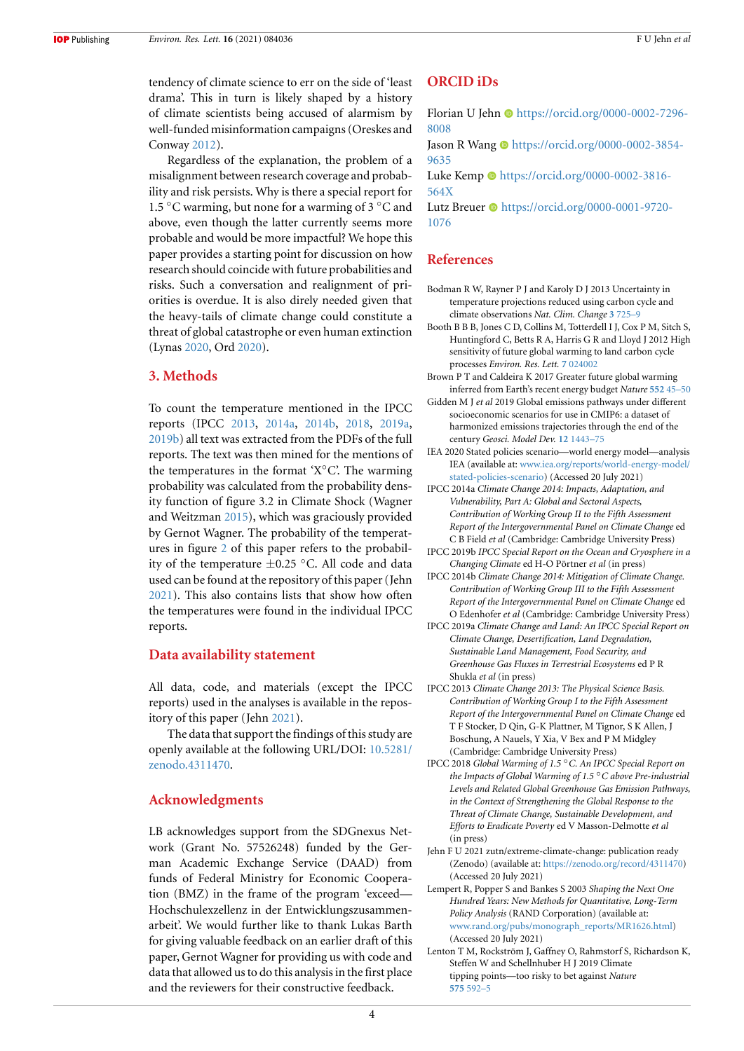tendency of climate science to err on the side of 'least drama'. This in turn is likely shaped by a history of climate scientists being accused of alarmism by well-funded misinformation campaigns (Oreskes and Conway 2012).

Regardless of the explanation, the problem of a misalignment between research coverage and probability and risk persists. Why is there a special report for 1.5 *◦*C w[armin](#page-4-9)g, but none for a warming of 3 *◦*C and above, even though the latter currently seems more probable and would be more impactful? We hope this paper provides a starting point for discussion on how research should coincide with future probabilities and risks. Such a conversation and realignment of priorities is overdue. It is also direly needed given that the heavy-tails of climate change could constitute a threat of global catastrophe or even human extinction (Lynas 2020, Ord 2020).

#### **3. Methods**

To cou[nt th](#page-4-8)e te[mpera](#page-4-10)ture mentioned in the IPCC reports (IPCC 2013, 2014a, 2014b, 2018, 2019a, 2019b) all text was extracted from the PDFs of the full reports. The text was then mined for the mentions of the temperatures in the format 'X*◦*C'. The warming probability was [calcul](#page-3-5)a[ted fro](#page-3-6)[m the pr](#page-3-7)o[babili](#page-3-8)t[y dens](#page-3-9)[ity fun](#page-3-10)ction of figure 3.2 in Climate Shock (Wagner and Weitzman 2015), which was graciously provided by Gernot Wagner. The probability of the temperatures in figure 2 of this paper refers to the probability of the temperature *±*0.25 *◦*C. All code and data used can be fo[und at](#page-4-1) the repository of this paper (Jehn 2021). This also contains lists that show how often the temperatu[re](#page-2-0)s were found in the individual IPCC reports.

#### **[Data](#page-3-12) availability statement**

All data, code, and materials (except the IPCC reports) used in the analyses is available in the repository of this paper (Jehn 2021).

The data that support the findings of this study are openly available at the following URL/DOI: 10.5281/ zenodo.4311470.

# **Acknowledgments**

[LB acknowledge](https://10.5281/zenodo.4311470)s support from the SDGnexus Network (Grant No. 57526248) funded by the German Academic Exchange Service (DAAD) from funds of Federal Ministry for Economic Cooperation (BMZ) in the frame of the program 'exceed— Hochschulexzellenz in der Entwicklungszusammenarbeit'. We would further like to thank Lukas Barth for giving valuable feedback on an earlier draft of this paper, Gernot Wagner for providing us with code and data that allowed us to do this analysis in the first place and the reviewers for their constructive feedback.

#### **ORCID iDs**

Florian U Jehn  $\odot$  https://orcid.org/0000-0002-7296-8008

Jason R Wang  $\bullet$  https://orcid.org/0000-0002-3854-9635

Luke Kemp  $\bullet$  [https://orcid.org/0000-0002-3816-](https://orcid.org/0000-0002-7296-8008) [564X](https://orcid.org/0000-0002-7296-8008)

Lutz Breuer  $\bullet$  [https://orcid.org/0000-0001-9720-](https://orcid.org/0000-0002-3854-9635) [1076](https://orcid.org/0000-0002-3854-9635)

# **[Refe](https://orcid.org/0000-0002-3816-564X)rence[s](https://orcid.org/0000-0001-9720-1076)**

- [Bodm](https://orcid.org/0000-0001-9720-1076)an R W, Rayner P J and Karoly D J 2013 Uncertainty in temperature projections reduced using carbon cycle and climate observations *Nat. Clim. Change* **3** 725–9
- <span id="page-3-2"></span>Booth B B B, Jones C D, Collins M, Totterdell I J, Cox P M, Sitch S, Huntingford C, Betts R A, Harris G R and Lloyd J 2012 High sensitivity of future global warming to land carbon cycle processes *Environ. Res. Lett.* **7** 024002
- <span id="page-3-1"></span>Brown P T and Caldeira K 2017 Greater futur[e global](https://doi.org/10.1038/nclimate1903) warming inferred from Earth's recent energy budget *Nature* **552** 45–50
- Gidden M J *et al* 2019 Global emissions pathways under different socioeconomic scenarios for use in CMIP6: a dataset of harmonized emissions traje[ctories thr](https://doi.org/10.1088/1748-9326/7/2/024002)ough the end of the century *Geosci. Model Dev.* **12** 1443–75
- <span id="page-3-11"></span><span id="page-3-0"></span>IEA 2020 Stated policies scenario—world energy model[—analysis](https://doi.org/10.1038/nature24672) IEA (available at: www.iea.org/reports/world-energy-model/ stated-policies-scenario) (Accessed 20 July 2021)
- IPCC 2014a *Climate Change 2014: Impacts, Adaptation, and Vulnerability, Part A: Globa[l and Sectora](https://doi.org/10.5194/gmd-12-1443-2019)l Aspects, Contribution of Working Group II to the Fifth Assessment Report of the Inte[rgovernmental Panel on Climate Change](https://www.iea.org/reports/world-energy-model/stated-policies-scenario)* ed [C B Field](https://www.iea.org/reports/world-energy-model/stated-policies-scenario) *et al* (Cambridge: Cambridge University Press)
- <span id="page-3-6"></span>IPCC 2019b *IPCC Special Report on the Ocean and Cryosphere in a Changing Climate* ed H-O Pörtner *et al* (in press)
- IPCC 2014b *Climate Change 2014: Mitigation of Climate Change. Contribution of Working Group III to the Fifth Assessment Report of the Intergovernmental Panel on Climate Change* ed O Edenhofer *et al* (Cambridge: Cambridge University Press)
- <span id="page-3-10"></span><span id="page-3-7"></span>IPCC 2019a *Climate Change and Land: An IPCC Special Report on Climate Change, Desertification, Land Degradation, Sustainable Land Management, Food Security, and Greenhouse Gas Fluxes in Terrestrial Ecosystems* ed P R Shukla *et al* (in press)
- <span id="page-3-9"></span>IPCC 2013 *Climate Change 2013: The Physical Science Basis. Contribution of Working Group I to the Fifth Assessment Report of the Intergovernmental Panel on Climate Change* ed T F Stocker, D Qin, G-K Plattner, M Tignor, S K Allen, J Boschung, A Nauels, Y Xia, V Bex and P M Midgley (Cambridge: Cambridge University Press)
- <span id="page-3-5"></span>IPCC 2018 *Global Warming of 1.5 ◦C. An IPCC Special Report on the Impacts of Global Warming of 1.5 ◦C above Pre-industrial Levels and Related Global Greenhouse Gas Emission Pathways, in the Context of Strengthening the Global Response to the Threat of Climate Change, Sustainable Development, and Efforts to Eradicate Poverty* ed V Masson-Delmotte *et al* (in press)
- <span id="page-3-8"></span>Jehn F U 2021 zutn/extreme-climate-change: publication ready (Zenodo) (available at: https://zenodo.org/record/4311470) (Accessed 20 July 2021)
- <span id="page-3-12"></span>Lempert R, Popper S and Bankes S 2003 *Shaping the Next One Hundred Years: New Methods for Quantitative, Long-Term Policy Analysis* (RAND Corporation) (available at: www.rand.org/pubs/m[onograph\\_reports/MR1626.html\)](https://zenodo.org/record/4311470) (Accessed 20 July 2021)
- <span id="page-3-4"></span><span id="page-3-3"></span>Lenton T M, Rockström J, Gaffney O, Rahmstorf S, Richardson K, Steffen W and Schellnhuber H J 2019 Climate tipping points—too risky to bet against *Nature* **575** [592–5](https://www.rand.org/pubs/monograph_reports/MR1626.html)